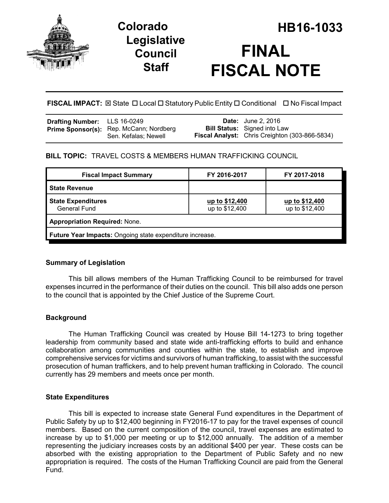

## **Legislative Council Staff**

# **Colorado HB16-1033 FINAL FISCAL NOTE**

**FISCAL IMPACT:** ⊠ State **D** Local **D** Statutory Public Entity **D** Conditional **D** No Fiscal Impact

| <b>Drafting Number:</b> LLS 16-0249 |                                                                 | <b>Date:</b> June 2, 2016                                                                    |
|-------------------------------------|-----------------------------------------------------------------|----------------------------------------------------------------------------------------------|
|                                     | Prime Sponsor(s): Rep. McCann; Nordberg<br>Sen. Kefalas; Newell | <b>Bill Status:</b> Signed into Law<br><b>Fiscal Analyst:</b> Chris Creighton (303-866-5834) |

### **BILL TOPIC:** TRAVEL COSTS & MEMBERS HUMAN TRAFFICKING COUNCIL

| <b>Fiscal Impact Summary</b>                                    | FY 2016-2017                     | FY 2017-2018                     |  |  |
|-----------------------------------------------------------------|----------------------------------|----------------------------------|--|--|
| <b>State Revenue</b>                                            |                                  |                                  |  |  |
| <b>State Expenditures</b><br><b>General Fund</b>                | up to \$12,400<br>up to \$12,400 | up to \$12,400<br>up to \$12,400 |  |  |
| <b>Appropriation Required: None.</b>                            |                                  |                                  |  |  |
| <b>Future Year Impacts:</b> Ongoing state expenditure increase. |                                  |                                  |  |  |

#### **Summary of Legislation**

This bill allows members of the Human Trafficking Council to be reimbursed for travel expenses incurred in the performance of their duties on the council. This bill also adds one person to the council that is appointed by the Chief Justice of the Supreme Court.

#### **Background**

The Human Trafficking Council was created by House Bill 14-1273 to bring together leadership from community based and state wide anti-trafficking efforts to build and enhance collaboration among communities and counties within the state, to establish and improve comprehensive services for victims and survivors of human trafficking, to assist with the successful prosecution of human traffickers, and to help prevent human trafficking in Colorado. The council currently has 29 members and meets once per month.

#### **State Expenditures**

This bill is expected to increase state General Fund expenditures in the Department of Public Safety by up to \$12,400 beginning in FY2016-17 to pay for the travel expenses of council members. Based on the current composition of the council, travel expenses are estimated to increase by up to \$1,000 per meeting or up to \$12,000 annually. The addition of a member representing the judiciary increases costs by an additional \$400 per year. These costs can be absorbed with the existing appropriation to the Department of Public Safety and no new appropriation is required. The costs of the Human Trafficking Council are paid from the General Fund.